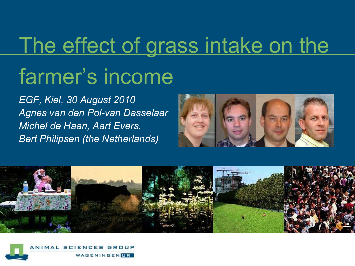# The effect of grass intake on the farmer's income

*EGF, Kiel, 30 August 2010 Agnes van den Pol-van Dasselaar Michel de Haan, Aart Evers, Bert Philipsen (the Netherlands)*





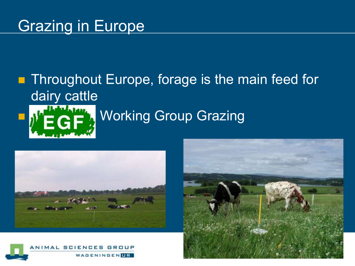#### **Grazing in Europe**

## **Throughout Europe, forage is the main feed for** dairy cattle WorkingGroup Grazing





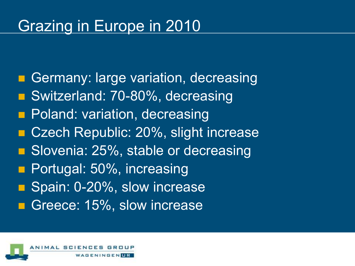#### Grazing in Europe in 2010

Germany: large variation, decreasing ■ Switzerland: 70-80%, decreasing **Poland: variation, decreasing** ■ Czech Republic: 20%, slight increase **B.** Slovenia: 25%, stable or decreasing **Portugal: 50%, increasing** Spain: 0-20%, slow increase Greece: 15%, slow increase

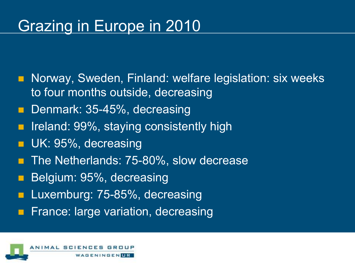#### Grazing in Europe in 2010

- **Norway, Sweden, Finland: welfare legislation: six weeks** to four months outside, decreasing
- Denmark: 35-45%, decreasing
- **If Ireland: 99%, staying consistently high**
- **UK: 95%, decreasing**
- The Netherlands: 75-80%, slow decrease
- Belgium: 95%, decreasing
- Luxemburg: 75-85%, decreasing
- France: large variation, decreasing

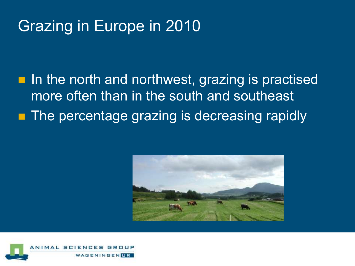#### Grazing in Europe in 2010

**In the north and northwest, grazing is practised** more often than in the south and southeast **The percentage grazing is decreasing rapidly** 



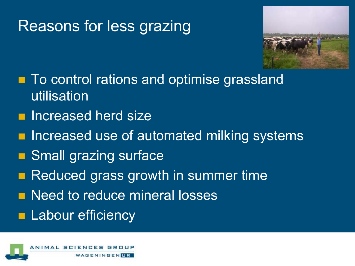#### Reasons for less grazing



- To control rations and optimise grassland utilisation
- **Increased herd size**
- **I** Increased use of automated milking systems
- Small grazing surface
- Reduced grass growth in summer time
- **Need to reduce mineral losses**
- **Labour efficiency**

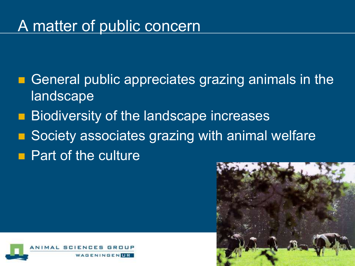#### A matter of public concern

- General public appreciates grazing animals in the **landscape**
- **Biodiversity of the landscape increases**
- Society associates grazing with animal welfare
- **Part of the culture**



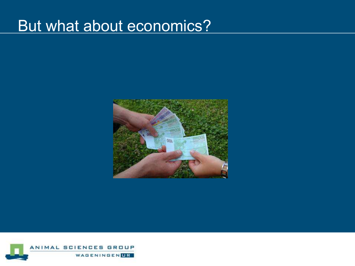#### But what about economics?



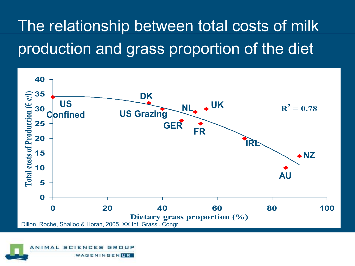## The relationship between total costs of milk production and grass proportion of the diet



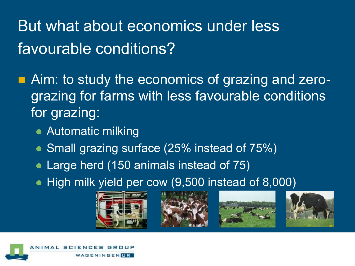But what about economics under less favourable conditions?

**Aim: to study the economics of grazing and zero**grazing for farms with less favourable conditions for grazing:

- Automatic milking
- Small grazing surface (25% instead of 75%)
- Large herd (150 animals instead of 75)
- High milk yield per cow (9,500 instead of 8,000)









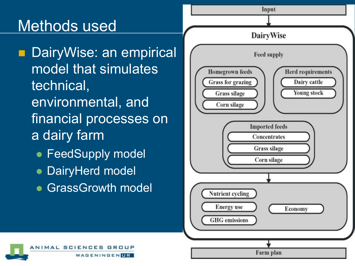### Methods used

**DairyWise: an empirical** model that simulates technical, environmental, and financial processes on a dairy farm

- **FeedSupply model**
- **DairyHerd model**
- **GrassGrowth model**



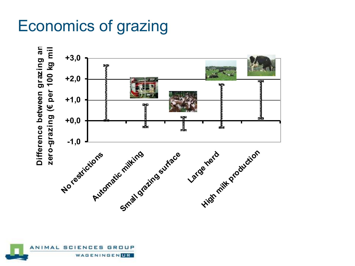### Economics of grazing



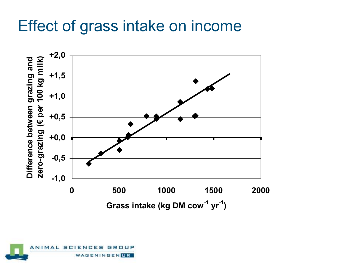#### Effect of grass intake on income



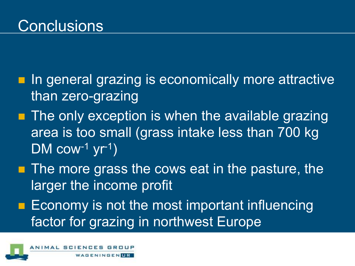- **I** In general grazing is economically more attractive than zero-grazing
- $\blacksquare$  The only exception is when the available grazing area is too small (grass intake less than 700 kg  $DM$  cow<sup>-1</sup> yr<sup>-1</sup>)
- $\blacksquare$  The more grass the cows eat in the pasture, the larger the income profit
- **Example 20 Figure 1** Economy is not the most important influencing factor for grazing in northwest Europe

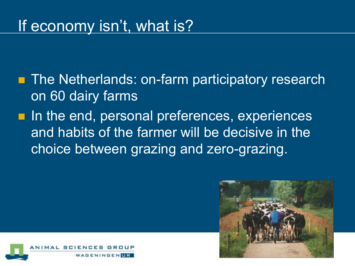**The Netherlands: on-farm participatory research** on 60 dairy farms

I In the end, personal preferences, experiences and habits of the farmer will be decisive in the choice between grazing and zero-grazing.